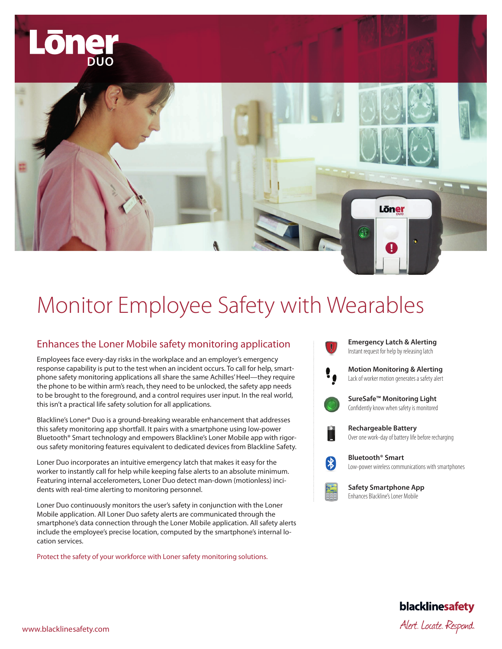

# Monitor Employee Safety with Wearables

## Enhances the Loner Mobile safety monitoring application

Employees face every-day risks in the workplace and an employer's emergency response capability is put to the test when an incident occurs. To call for help, smartphone safety monitoring applications all share the same Achilles' Heel—they require the phone to be within arm's reach, they need to be unlocked, the safety app needs to be brought to the foreground, and a control requires user input. In the real world, this isn't a practical life safety solution for all applications.

Blackline's Loner® Duo is a ground-breaking wearable enhancement that addresses this safety monitoring app shortfall. It pairs with a smartphone using low-power Bluetooth® Smart technology and empowers Blackline's Loner Mobile app with rigorous safety monitoring features equivalent to dedicated devices from Blackline Safety.

Loner Duo incorporates an intuitive emergency latch that makes it easy for the worker to instantly call for help while keeping false alerts to an absolute minimum. Featuring internal accelerometers, Loner Duo detect man-down (motionless) incidents with real-time alerting to monitoring personnel.

Loner Duo continuously monitors the user's safety in conjunction with the Loner Mobile application. All Loner Duo safety alerts are communicated through the smartphone's data connection through the Loner Mobile application. All safety alerts include the employee's precise location, computed by the smartphone's internal location services.

Protect the safety of your workforce with Loner safety monitoring solutions.





**Safety Smartphone App** Enhances Blackline's Loner Mobile

blacklinesafety

www.blacklinesafety.com and the control of the control of the control of the control of the control of the control of the control of the control of the control of the control of the control of the control of the control of